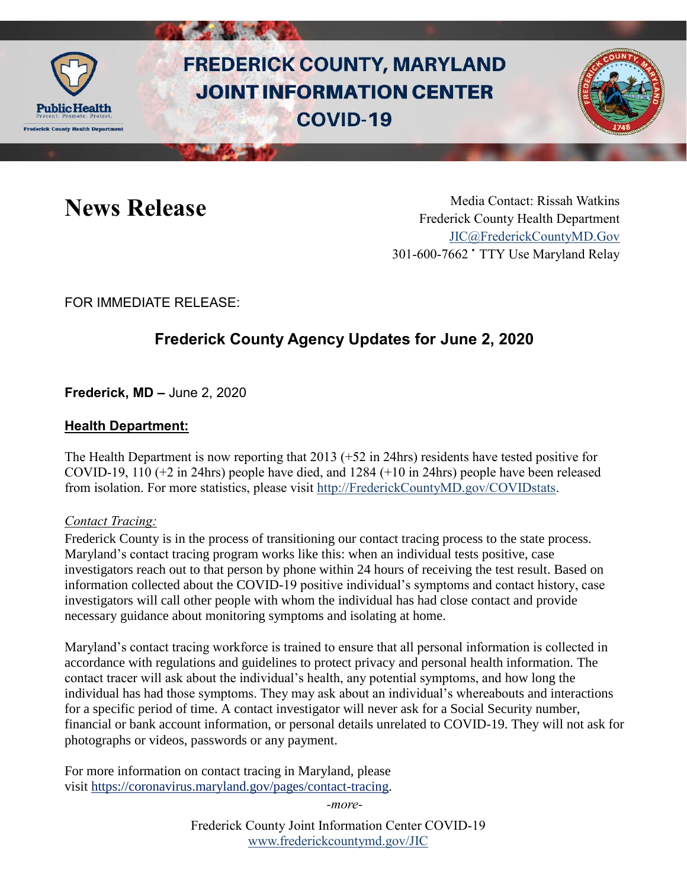

# **FREDERICK COUNTY, MARYLAND JOINT INFORMATION CENTER COVID-19**



News Release Media Contact: Rissah Watkins Frederick County Health Department [JIC@FrederickCountyMD.Gov](mailto:JIC@FrederickCountyMD.Gov) 301-600-7662 • TTY Use Maryland Relay

FOR IMMEDIATE RELEASE:

## **Frederick County Agency Updates for June 2, 2020**

**Frederick, MD –** June 2, 2020

### **Health Department:**

The Health Department is now reporting that 2013 (+52 in 24hrs) residents have tested positive for COVID-19, 110 (+2 in 24hrs) people have died, and 1284 (+10 in 24hrs) people have been released from isolation. For more statistics, please visit [http://FrederickCountyMD.gov/COVIDstats.](http://frederickcountymd.gov/COVIDstats)

#### *Contact Tracing:*

Frederick County is in the process of transitioning our contact tracing process to the state process. Maryland's contact tracing program works like this: when an individual tests positive, case investigators reach out to that person by phone within 24 hours of receiving the test result. Based on information collected about the COVID-19 positive individual's symptoms and contact history, case investigators will call other people with whom the individual has had close contact and provide necessary guidance about monitoring symptoms and isolating at home.

Maryland's contact tracing workforce is trained to ensure that all personal information is collected in accordance with regulations and guidelines to protect privacy and personal health information. The contact tracer will ask about the individual's health, any potential symptoms, and how long the individual has had those symptoms. They may ask about an individual's whereabouts and interactions for a specific period of time. A contact investigator will never ask for a Social Security number, financial or bank account information, or personal details unrelated to COVID-19. They will not ask for photographs or videos, passwords or any payment.

For more information on contact tracing in Maryland, please visit [https://coronavirus.maryland.gov/pages/contact-tracing.](https://coronavirus.maryland.gov/pages/contact-tracing)

*-more-*

Frederick County Joint Information Center COVID-19 [www.frederickcountymd.gov/JIC](https://frederickcountymd.gov/JIC)